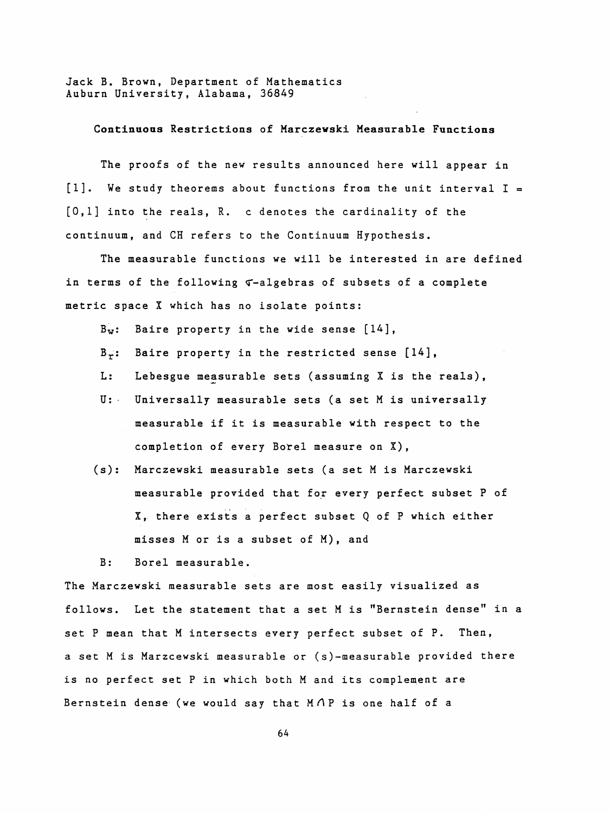Jack B. Brown, Department of Mathematics Auburn University, Alabama, 36849

## Continuous Restrictions of Marczewski Measurable Functions

 The proofs of the new results announced here will appear in  $[1]$ . We study theorems about functions from the unit interval  $I =$  [0,1] into the reals, R. c denotes the cardinality of the continuum, and CH refers to the Continuum Hypothesis.

 The measurable functions we will be interested in are defined in terms of the following  $\tau$ -algebras of subsets of a complete metric space X which has no isolate points:

 $B_w$ : Baire property in the wide sense  $[14]$ ,

- $B_{\tau}$ : Baire property in the restricted sense  $[14]$ ,
- L: Lebesgue measurable sets (assuming X is the reals),
- U: Universally measurable sets (a set M is universally measurable if it is measurable with respect to the completion of every Borei measure on X) ,
- (s): Marczewski measurable sets (a set M is Marczewski measurable provided that for every perfect subset P of X, there exists a perfect subset Q of P which either misses M or is a subset of M), and

B: Borei measurable.

 The Marczewski measurable sets are most easily visualized as follows. Let the statement that a set M is "Bernstein dense" in a set P mean that M intersects every perfect subset of P. Then, a set M is Marzcewski measurable or (s)-measurable provided there is no perfect set P in which both M and its complement are Bernstein dense (we would say that M $\Lambda$ P is one half of a

64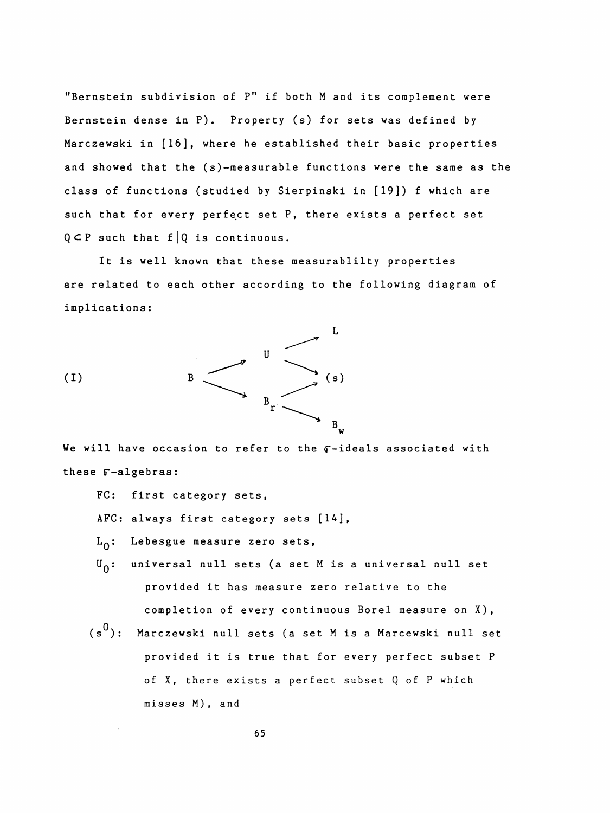"Bernstein subdivision of P" if both M and its complement were Bernstein dense in P). Property (s) for sets was defined by Marczewski in [16], where he established their basic properties and showed that the (s)-measurable functions were the same as the class of functions (studied by Sierpinski in [19]) f which are such that for every perfect set P, there exists a perfect set  $Q \subset P$  such that  $f | Q$  is continuous.

 It is well known that these measurablilty properties are related to each other according to the following diagram of implications :



We will have occasion to refer to the  $\sigma$ -ideals associated with these  $r$ -algebras:

- FC: first category sets,
- AFC: always first category sets [14],
- L<sub>o</sub>: Lebesgue measure zero sets,
- $U_{\Omega}$ : universal null sets (a set M is a universal null set provided it has measure zero relative to the completion of every continuous Borei measure on X),
- $(s^0)$ : Marczewski null sets (a set M is a Marcewski null set provided it is true that for every perfect subset P of X, there exists a perfect subset Q of P which misses M) , and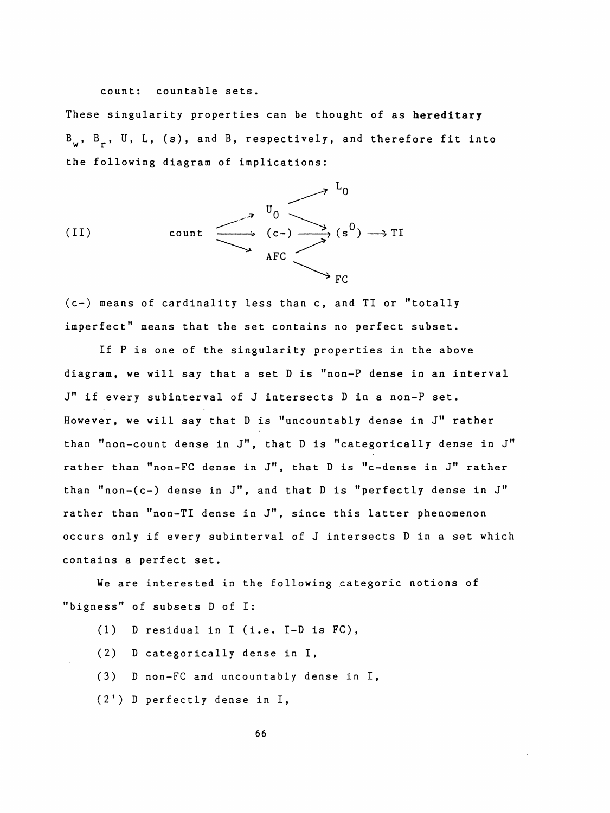count: countable sets.

 These singularity properties can be thought of as hereditary  $B_w$ ,  $B_r$ , U, L, (s), and B, respectively, and therefore fit into the following diagram of implications:



 (c-) means of cardinality less than c, and TI or "totally imperfect" means that the set contains no perfect subset.

 If P is one of the singularity properties in the above diagram, we will say that a set D is "non-P dense in an interval J" if every subinterval of J intersects D in a non-P set. However, we will say that D is "uncountably dense in J" rather than "non-count dense in J", that D is "categorically dense in J" rather than "non-FC dense in J", that D is "c-dense in J" rather than "non-(c-) dense in J", and that D is "perfectly dense in J" rather than "non-TI dense in J", since this latter phenomenon occurs only if every subinterval of J intersects D in a set which contains a perfect set.

 We are interested in the following categoric notions of "bigness" of subsets D of I:

- (1) D residual in I (i.e. I-D is FC),
- (2) D categorically dense in I,
- (3) D non-FC and uncountably dense in I,
- (2') D perfectly dense in I,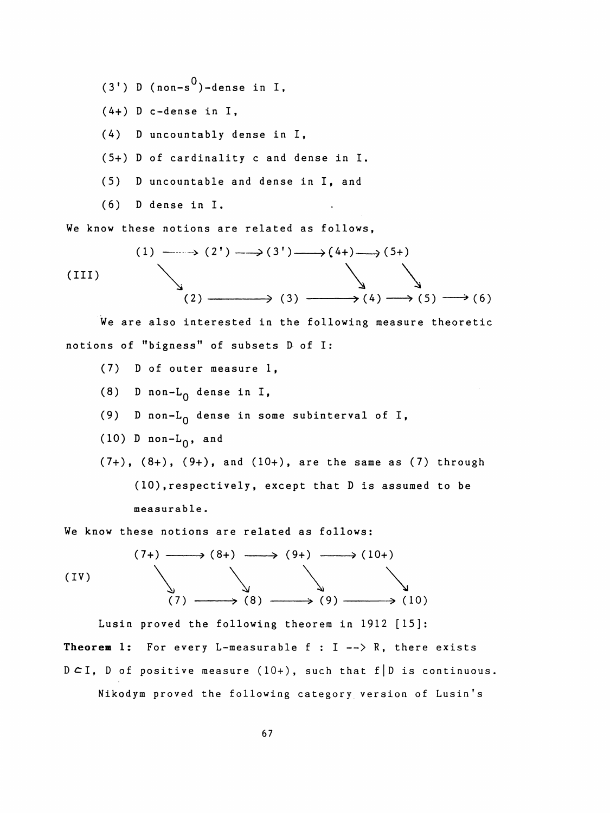- $(3')$  D (non-s<sup>0</sup>)-dense in I,
- (4+) D c-dense in I,

(4) D uncountably dense in I,

- (5+) D of cardinality c and dense in I.
- (5) D uncountable and dense in I, and
- (6) D dense in I.

We know these notions are related as follows,  
\n(1) 
$$
\longrightarrow
$$
 (2')  $\longrightarrow$  (3')  $\longrightarrow$  (4+)  $\longrightarrow$  (5+)  
\n(III)  
\n(2)  $\longrightarrow$  (3)  $\longrightarrow$  (4)  $\longrightarrow$  (5)  $\longrightarrow$  (6)

 We are also interested in the following measure theoretic notions of "bigness" of subsets D of I:

- (7) D of outer measure 1,
- (8) D non- $L_0$  dense in I,
- (9) D non- $L_0$  dense in some subinterval of I,
- (10) D non- $L_0$ , and

 $(7+)$ ,  $(8+)$ ,  $(9+)$ , and  $(10+)$ , are the same as  $(7)$  through ( 10) , respectively , except that D is assumed to be measurable .

We know these notions are related as follows:

We know these notions are related as follows:  
\n
$$
(7+) \longrightarrow (8+) \longrightarrow (9+) \longrightarrow (10+)
$$
\n
$$
(IV) \longrightarrow (8) \longrightarrow (9) \longrightarrow (10)
$$
\n
$$
(10)
$$

 Lusin proved the following theorem in 1912 [15]: Theorem 1: For every L-measurable  $f : I \longrightarrow R$ , there exists  $DCI$ , D of positive measure (10+), such that f D is continuous. Nikodym proved the following category version of Lusin's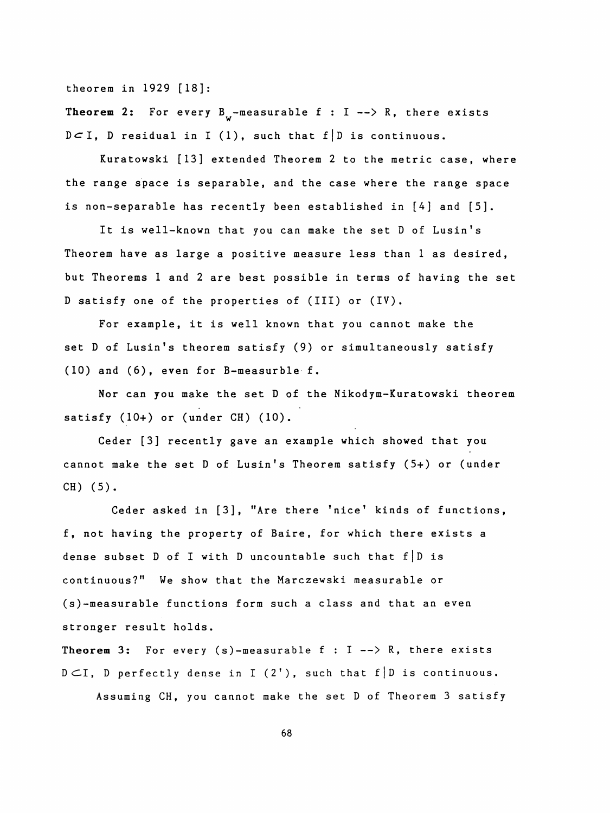theorem in 1929 [18]:

**Theorem 2:** For every  $B^{\text{}}_{ij}$ -measurable f : I --> R, there exists  $D\subset I$ , D residual in I (1), such that f D is continuous.

 Kuratowski [13] extended Theorem 2 to the metric case, where the range space is separable, and the case where the range space is non-separable has recently been established in [4] and [5].

 It is well-known that you can make the set D of Lusin's Theorem have as large a positive measure less than 1 as desired, but Theorems 1 and 2 are best possible in terms of having the set D satisfy one of the properties of (III) or (IV).

 For example, it is well known that you cannot make the set D of Lusin's theorem satisfy (9) or simultaneously satisfy (10) and (6), even for B-measurble f.

 Nor can you make the set D of the Nikodym-Kuratowski theorem satisfy (10+) or (under CH) (10).

 Ceder [3] recently gave an example which showed that you cannot make the set D of Lusin's Theorem satisfy (5+) or (under CH) (5).

 Ceder asked in [3], "Are there 'nice' kinds of functions, f, not having the property of Baire, for which there exists a dense subset D of I with D uncountable such that  $f \mid D$  is continuous?" We show that the Marczewski measurable or (s)-measurable functions form such a class and that an even stronger result holds.

Theorem 3: For every  $(s)$ -measurable f : I --> R, there exists  $D \subset I$ , D perfectly dense in I (2'), such that f D is continuous. Assuming CH, you cannot make the set D of Theorem 3 satisfy

68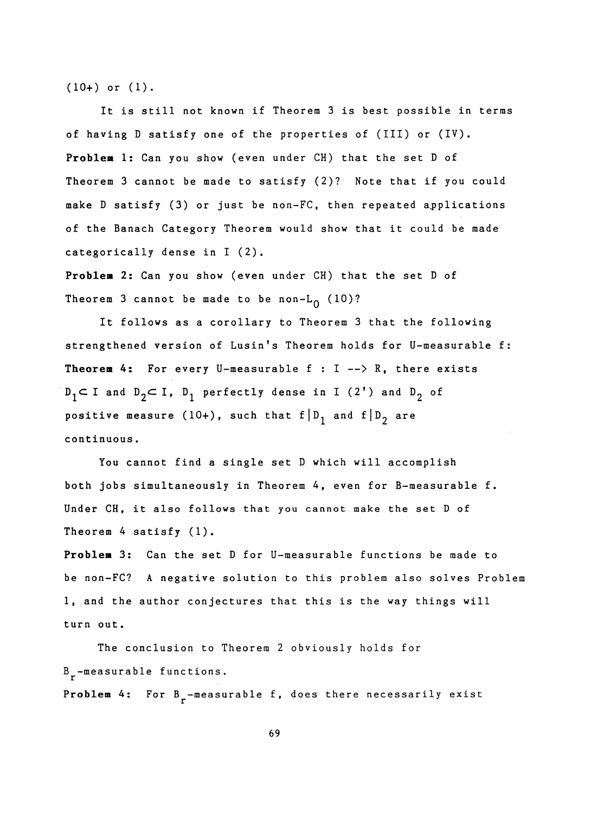(10+) or (1).

It is still not known if Theorem 3 is best possible in terms of having D satisfy one of the properties of (III) or (IV). Problem 1: Can you show (even under CH) that the set D of Theorem 3 cannot be made to satisfy (2)? Note that if you could make D satisfy (3) or just be non-FC, then repeated applications of the Banach Category Theorem would show that it could be made categorically dense in I (2).

 Problem 2: Can you show (even under CH) that the set D of Theorem 3 cannot be made to be non- $L_0$  (10)?

 It follows as a corollary to Theorem 3 that the following strengthened version of Lusin's Theorem holds for U-measurable f: Theorem 4: For every U-measurable  $f : I \longrightarrow R$ , there exists  $D_1 \subset I$  and  $D_2 \subset I$ ,  $D_1$  perfectly dense in I (2') and  $D_2$  of positive measure (10+), such that  $f | D_1$  and  $f | D_2$  are continuous .

 You cannot find a single set D which will accomplish both jobs simultaneously in Theorem 4, even for B-measurable f. Under CH, it also follows that you cannot make the set D of Theorem 4 satisfy (1).

 Problem 3: Can the set D for U-measurable functions be made to be non-FC? A negative solution to this problem also solves Problem 1, and the author conjectures that this is the way things will turn out.

 The conclusion to Theorem 2 obviously holds for  $B_{\rm r}$ -measurable functions. Problem 4: For B<sub>r</sub>-measurable f, does there necessarily exist

69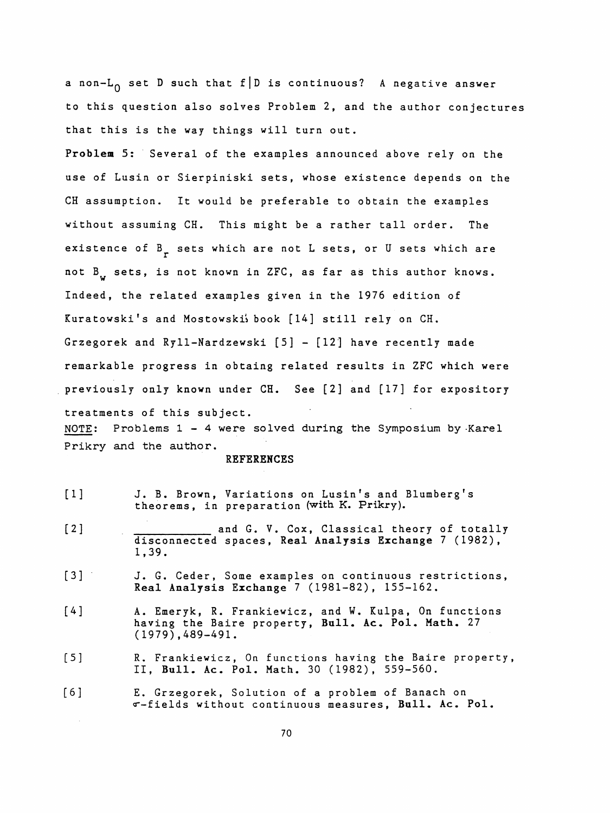a non-L<sub>O</sub> set D such that f D is continuous? A negative answer to this question also solves Problem 2, and the author conjectures that this is the way things will turn out.

 Problem 5: Several of the examples announced above rely on the use of Lusin or Sierpiniski sets, whose existence depends on the CH assumption. It would be preferable to obtain the examples without assuming CH. This might be a rather tall order. The existence of  $B<sub>r</sub>$  sets which are not L sets, or U sets which are not B sets, is not known in ZFC, as far as this author knows. W Indeed, the related examples given in the 1976 edition of Kuratowski's and Mostowski's book [14] still rely on CH. Grzegorek and Ryll-Nardzewski [5] - [12] have recently made remarkable progress in obtaing related results in ZFC which were previously only known under CH. See [2] and [17] for expository treatments of this subject. NOTE: Problems  $1 - 4$  were solved during the Symposium by Karel Prikry and the author.

## REFERENCES

- [1] J. B. Brown, Variations on Lusin's and Blumberg's theorems, in preparation (with K. Prikry).
- [2] and G. V. Cox, Classical theory of totally disconnected spaces, Real Analysis Exchange 7 (1982), 1,39.
- [3] J. G. Ceder, Some examples on continuous restrictions, Real Analysis Exchange 7 (1981-82), 155-162.
- [4] A. Emeryk, R. Frankiewicz, and W. Kulpa, On functions having the Baire property, Bull. Ac. Pol. Math. 27 (1979) ,489-491.
- [5] R. Frankiewicz, On functions having the Baire property, II, Bull. Ac. Pol. Math. 30 (1982), 559-560.
- [6] E. Grzegorek, Solution of a problem of Banach on «"-fields without continuous measures, Bull. Ac. Pol.